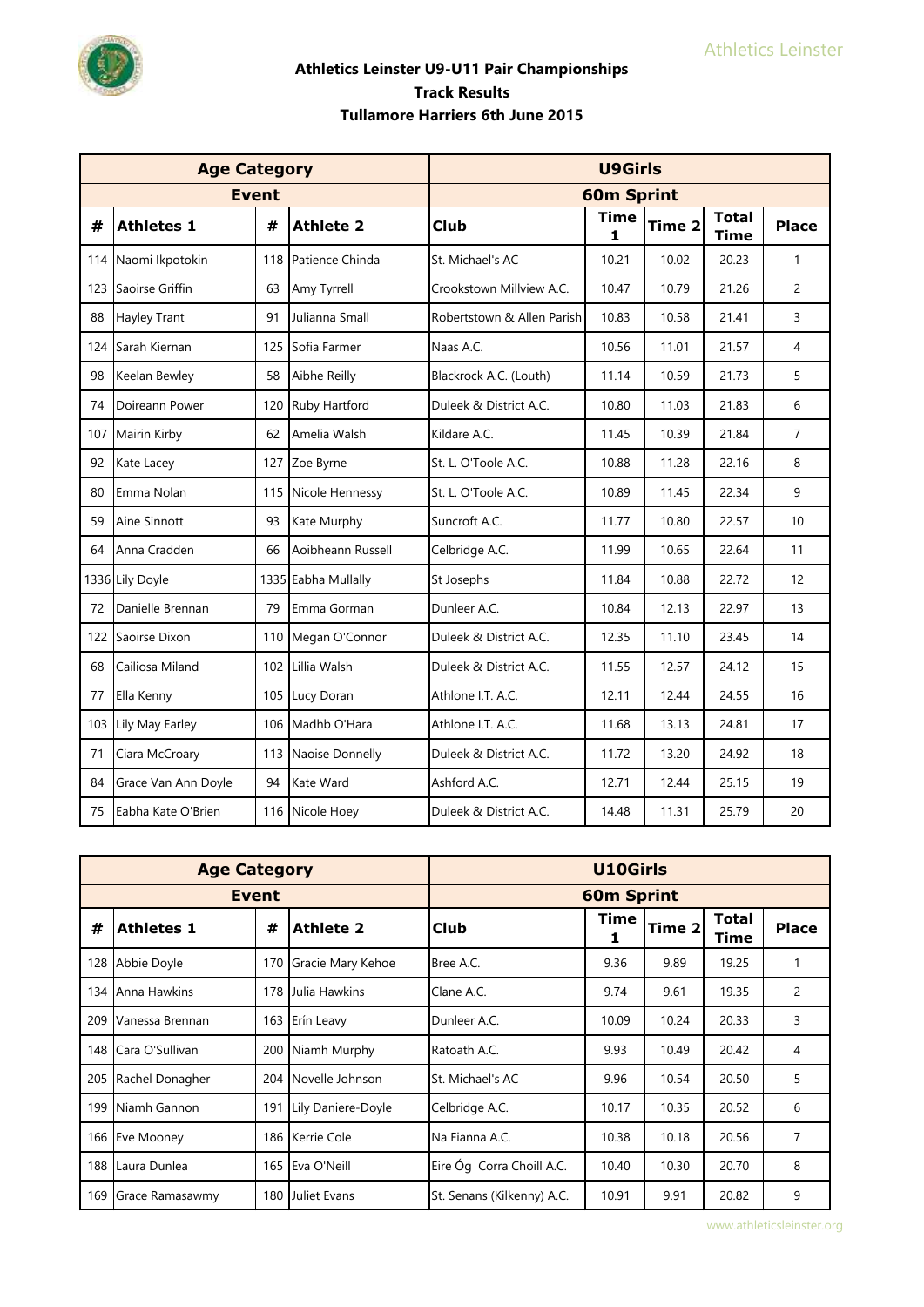

|     | <b>Age Category</b> |              |                     |                            | <b>U9Girls</b>    |        |                             |                |
|-----|---------------------|--------------|---------------------|----------------------------|-------------------|--------|-----------------------------|----------------|
|     |                     | <b>Event</b> |                     |                            | <b>60m Sprint</b> |        |                             |                |
| #   | <b>Athletes 1</b>   | #            | <b>Athlete 2</b>    | <b>Club</b>                | <b>Time</b><br>1  | Time 2 | <b>Total</b><br><b>Time</b> | <b>Place</b>   |
| 114 | Naomi Ikpotokin     | 118          | Patience Chinda     | St. Michael's AC           | 10.21             | 10.02  | 20.23                       | $\mathbf{1}$   |
| 123 | Saoirse Griffin     | 63           | Amy Tyrrell         | Crookstown Millview A.C.   | 10.47             | 10.79  | 21.26                       | $\overline{2}$ |
| 88  | Hayley Trant        | 91           | Julianna Small      | Robertstown & Allen Parish | 10.83             | 10.58  | 21.41                       | 3              |
| 124 | Sarah Kiernan       | 125          | Sofia Farmer        | Naas A.C.                  | 10.56             | 11.01  | 21.57                       | 4              |
| 98  | Keelan Bewley       | 58           | Aibhe Reilly        | Blackrock A.C. (Louth)     | 11.14             | 10.59  | 21.73                       | 5              |
| 74  | Doireann Power      | 120          | Ruby Hartford       | Duleek & District A.C.     | 10.80             | 11.03  | 21.83                       | 6              |
| 107 | Mairin Kirby        | 62           | Amelia Walsh        | Kildare A.C.               | 11.45             | 10.39  | 21.84                       | $\overline{7}$ |
| 92  | Kate Lacey          | 127          | Zoe Byrne           | St. L. O'Toole A.C.        | 10.88             | 11.28  | 22.16                       | 8              |
| 80  | Emma Nolan          | 115          | Nicole Hennessy     | St. L. O'Toole A.C.        | 10.89             | 11.45  | 22.34                       | 9              |
| 59  | Aine Sinnott        | 93           | Kate Murphy         | Suncroft A.C.              | 11.77             | 10.80  | 22.57                       | 10             |
| 64  | Anna Cradden        | 66           | Aoibheann Russell   | Celbridge A.C.             | 11.99             | 10.65  | 22.64                       | 11             |
|     | 1336 Lily Doyle     |              | 1335 Eabha Mullally | St Josephs                 | 11.84             | 10.88  | 22.72                       | 12             |
| 72  | Danielle Brennan    | 79           | Emma Gorman         | Dunleer A.C.               | 10.84             | 12.13  | 22.97                       | 13             |
| 122 | Saoirse Dixon       | 110          | Megan O'Connor      | Duleek & District A.C.     | 12.35             | 11.10  | 23.45                       | 14             |
| 68  | Cailiosa Miland     | 102          | Lillia Walsh        | Duleek & District A.C.     | 11.55             | 12.57  | 24.12                       | 15             |
| 77  | Ella Kenny          | 105          | Lucy Doran          | Athlone I.T. A.C.          | 12.11             | 12.44  | 24.55                       | 16             |
| 103 | Lily May Earley     | 106          | Madhb O'Hara        | Athlone I.T. A.C.          | 11.68             | 13.13  | 24.81                       | 17             |
| 71  | Ciara McCroary      |              | 113 Naoise Donnelly | Duleek & District A.C.     | 11.72             | 13.20  | 24.92                       | 18             |
| 84  | Grace Van Ann Doyle | 94           | Kate Ward           | Ashford A.C.               | 12.71             | 12.44  | 25.15                       | 19             |
| 75  | Eabha Kate O'Brien  |              | 116 Nicole Hoey     | Duleek & District A.C.     | 14.48             | 11.31  | 25.79                       | 20             |

|     | <b>Age Category</b> |                  |                    |                            | U10Girls          |                      |       |                                          |  |  |
|-----|---------------------|------------------|--------------------|----------------------------|-------------------|----------------------|-------|------------------------------------------|--|--|
|     |                     | <b>Event</b>     |                    |                            | <b>60m Sprint</b> |                      |       | <b>Place</b><br>$\overline{c}$<br>3<br>4 |  |  |
| #   | <b>Athletes 1</b>   | <b>Athlete 2</b> | Club               | Time<br>1                  | Time 2            | <b>Total</b><br>Time |       |                                          |  |  |
|     | 128 Abbie Doyle     | 170              | Gracie Mary Kehoe  | Bree A.C.                  | 9.36              | 9.89                 | 19.25 |                                          |  |  |
| 134 | Anna Hawkins        | 178              | Julia Hawkins      | Clane A.C.                 | 9.74              | 9.61                 | 19.35 |                                          |  |  |
| 209 | Vanessa Brennan     | 163              | Erín Leavy         | Dunleer A.C.               | 10.09             | 10.24                | 20.33 |                                          |  |  |
| 148 | Cara O'Sullivan     | 200              | Niamh Murphy       | Ratoath A.C.               | 9.93              | 10.49                | 20.42 |                                          |  |  |
| 205 | Rachel Donagher     | 204              | Novelle Johnson    | St. Michael's AC           | 9.96              | 10.54                | 20.50 | 5                                        |  |  |
| 199 | Niamh Gannon        | 191              | Lily Daniere-Doyle | Celbridge A.C.             | 10.17             | 10.35                | 20.52 | 6                                        |  |  |
| 166 | <b>Eve Mooney</b>   | 186              | Kerrie Cole        | Na Fianna A.C.             | 10.38             | 10.18                | 20.56 | 7                                        |  |  |
| 188 | Laura Dunlea        | 165              | Eva O'Neill        | Eire Óg Corra Choill A.C.  | 10.40             | 10.30                | 20.70 | 8                                        |  |  |
| 169 | Grace Ramasawmy     | 180              | Juliet Evans       | St. Senans (Kilkenny) A.C. | 10.91             | 9.91                 | 20.82 | 9                                        |  |  |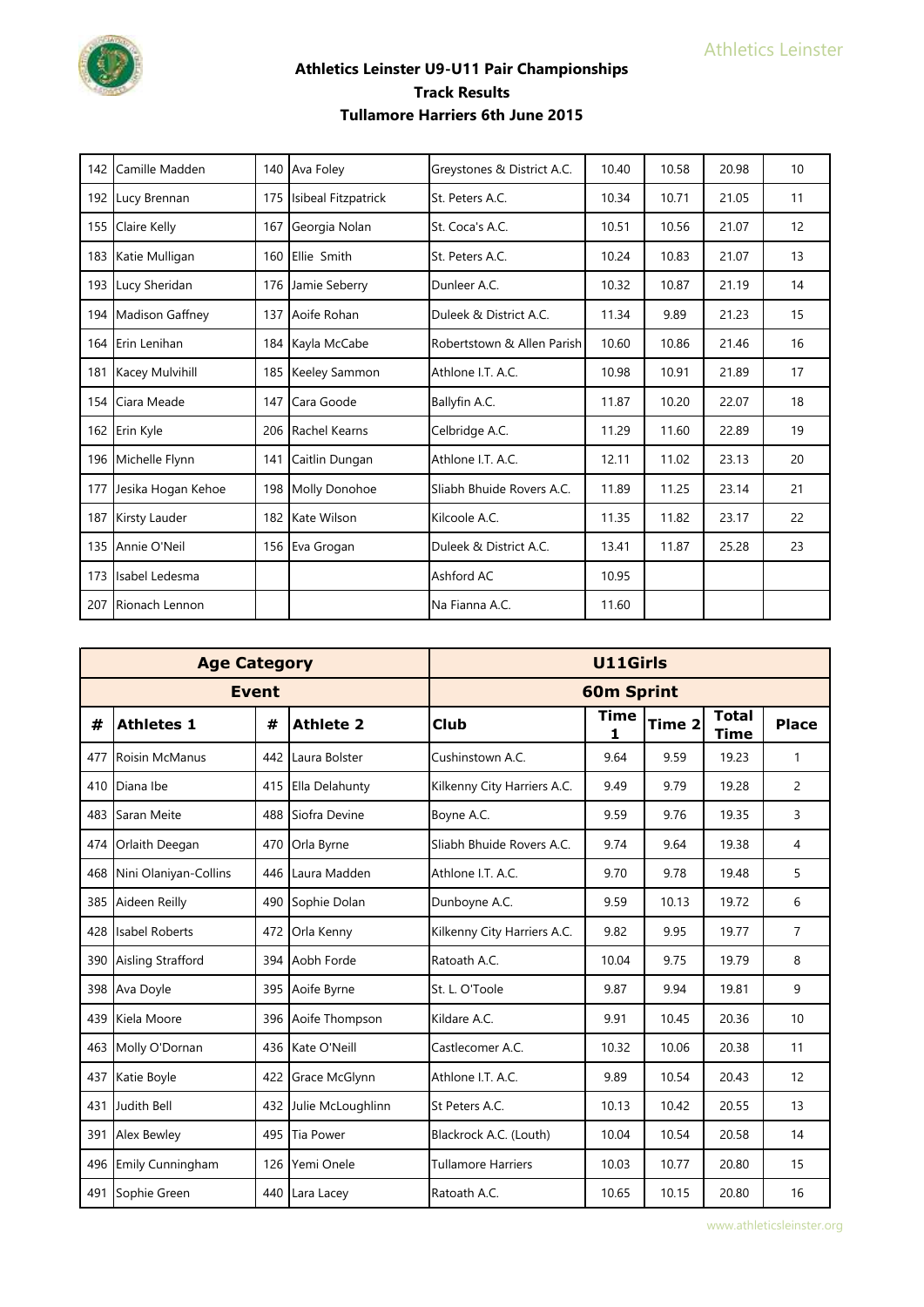

| 142 | Camille Madden      | 140 | Ava Foley           | Greystones & District A.C. | 10.40 | 10.58 | 20.98 | 10 |
|-----|---------------------|-----|---------------------|----------------------------|-------|-------|-------|----|
|     | 192 Lucy Brennan    | 175 | Isibeal Fitzpatrick | St. Peters A.C.            | 10.34 | 10.71 | 21.05 | 11 |
| 155 | <b>Claire Kelly</b> | 167 | Georgia Nolan       | St. Coca's A.C.            | 10.51 | 10.56 | 21.07 | 12 |
| 183 | Katie Mulligan      | 160 | Ellie Smith         | St. Peters A.C.            | 10.24 | 10.83 | 21.07 | 13 |
| 193 | Lucy Sheridan       | 176 | Jamie Seberry       | Dunleer A.C.               | 10.32 | 10.87 | 21.19 | 14 |
| 194 | Madison Gaffney     | 137 | Aoife Rohan         | Duleek & District A.C.     | 11.34 | 9.89  | 21.23 | 15 |
| 164 | Erin Lenihan        | 184 | Kayla McCabe        | Robertstown & Allen Parish | 10.60 | 10.86 | 21.46 | 16 |
| 181 | Kacey Mulvihill     |     | 185 Keeley Sammon   | Athlone I.T. A.C.          | 10.98 | 10.91 | 21.89 | 17 |
| 154 | Ciara Meade         | 147 | Cara Goode          | Ballyfin A.C.              | 11.87 | 10.20 | 22.07 | 18 |
|     | 162 Erin Kyle       | 206 | Rachel Kearns       | Celbridge A.C.             | 11.29 | 11.60 | 22.89 | 19 |
|     | 196 Michelle Flynn  | 141 | Caitlin Dungan      | Athlone I.T. A.C.          | 12.11 | 11.02 | 23.13 | 20 |
| 177 | Jesika Hogan Kehoe  |     | 198 Molly Donohoe   | Sliabh Bhuide Rovers A.C.  | 11.89 | 11.25 | 23.14 | 21 |
| 187 | Kirsty Lauder       | 182 | Kate Wilson         | Kilcoole A.C.              | 11.35 | 11.82 | 23.17 | 22 |
|     | 135 Annie O'Neil    | 156 | Eva Grogan          | Duleek & District A.C.     | 13.41 | 11.87 | 25.28 | 23 |
| 173 | Isabel Ledesma      |     |                     | Ashford AC                 | 10.95 |       |       |    |
| 207 | Rionach Lennon      |     |                     | Na Fianna A.C.             | 11.60 |       |       |    |

|     | <b>Age Category</b>   |     |                   |                             | <b>U11Girls</b>   |                   |                             |                |
|-----|-----------------------|-----|-------------------|-----------------------------|-------------------|-------------------|-----------------------------|----------------|
|     | <b>Event</b>          |     |                   |                             | <b>60m Sprint</b> |                   |                             |                |
| #   | <b>Athletes 1</b>     | #   | <b>Athlete 2</b>  | Club                        | Time<br>1         | Time <sub>2</sub> | <b>Total</b><br><b>Time</b> | <b>Place</b>   |
| 477 | <b>Roisin McManus</b> | 442 | Laura Bolster     | Cushinstown A.C.            | 9.64              | 9.59              | 19.23                       | 1              |
| 410 | Diana Ibe             | 415 | Ella Delahunty    | Kilkenny City Harriers A.C. | 9.49              | 9.79              | 19.28                       | $\overline{2}$ |
|     | 483 Saran Meite       | 488 | Siofra Devine     | Boyne A.C.                  | 9.59              | 9.76              | 19.35                       | 3              |
| 474 | Orlaith Deegan        | 470 | Orla Byrne        | Sliabh Bhuide Rovers A.C.   | 9.74              | 9.64              | 19.38                       | 4              |
| 468 | Nini Olaniyan-Collins | 446 | Laura Madden      | Athlone I.T. A.C.           | 9.70              | 9.78              | 19.48                       | 5              |
| 385 | Aideen Reilly         | 490 | Sophie Dolan      | Dunboyne A.C.               | 9.59              | 10.13             | 19.72                       | 6              |
| 428 | <b>Isabel Roberts</b> | 472 | Orla Kenny        | Kilkenny City Harriers A.C. | 9.82              | 9.95              | 19.77                       | $\overline{7}$ |
|     | 390 Aisling Strafford | 394 | Aobh Forde        | Ratoath A.C.                | 10.04             | 9.75              | 19.79                       | 8              |
|     | 398 Ava Doyle         | 395 | Aoife Byrne       | St. L. O'Toole              | 9.87              | 9.94              | 19.81                       | 9              |
|     | 439 Kiela Moore       | 396 | Aoife Thompson    | Kildare A.C.                | 9.91              | 10.45             | 20.36                       | 10             |
|     | 463 Molly O'Dornan    | 436 | Kate O'Neill      | Castlecomer A.C.            | 10.32             | 10.06             | 20.38                       | 11             |
| 437 | Katie Boyle           | 422 | Grace McGlynn     | Athlone I.T. A.C.           | 9.89              | 10.54             | 20.43                       | 12             |
|     | 431 Judith Bell       | 432 | Julie McLoughlinn | St Peters A.C.              | 10.13             | 10.42             | 20.55                       | 13             |
|     | 391 Alex Bewley       | 495 | Tia Power         | Blackrock A.C. (Louth)      | 10.04             | 10.54             | 20.58                       | 14             |
|     | 496 Emily Cunningham  | 126 | Yemi Onele        | <b>Tullamore Harriers</b>   | 10.03             | 10.77             | 20.80                       | 15             |
|     | 491 Sophie Green      | 440 | Lara Lacey        | Ratoath A.C.                | 10.65             | 10.15             | 20.80                       | 16             |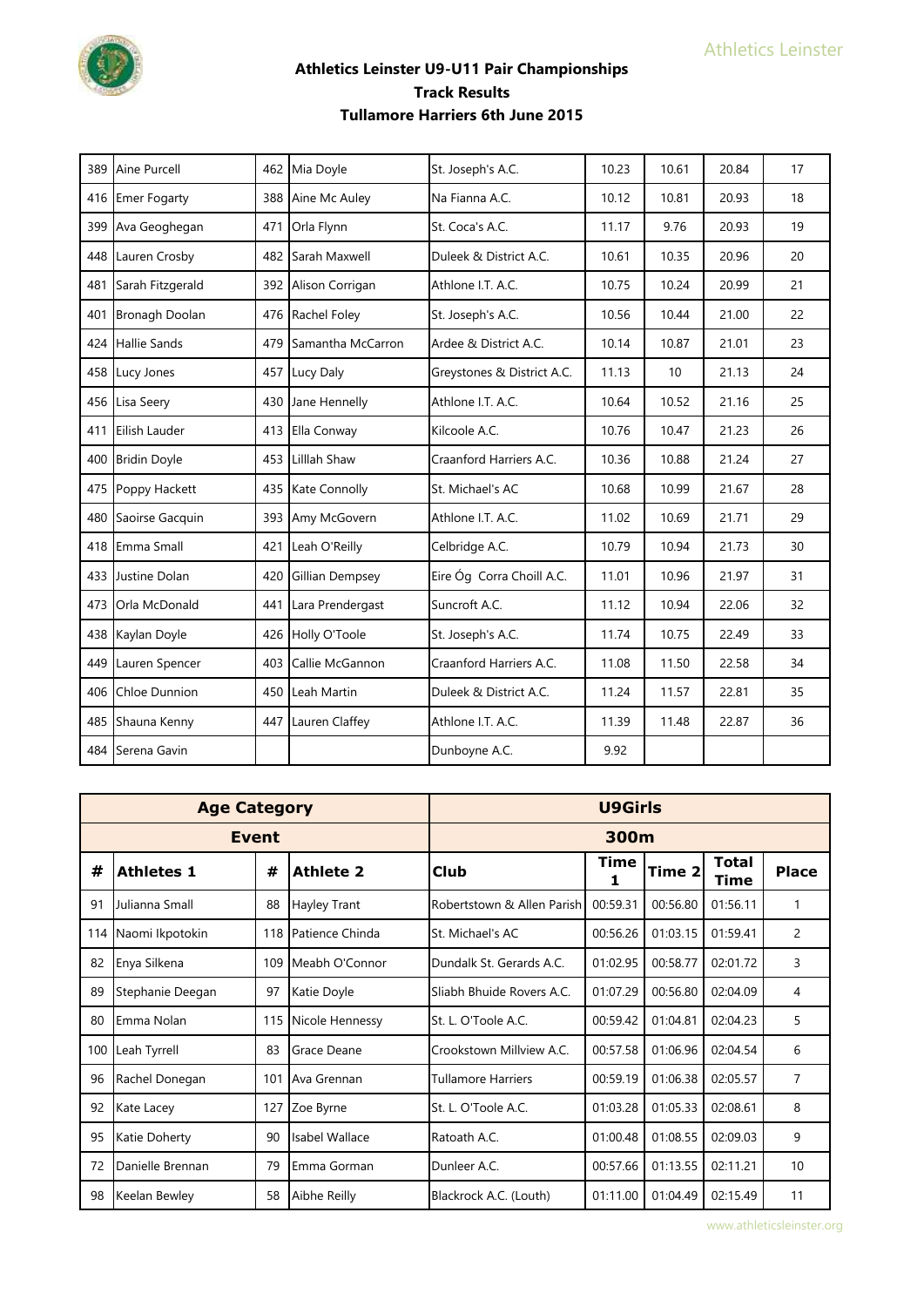

| 389 | Aine Purcell         | 462 | Mia Doyle              | St. Joseph's A.C.          | 10.23 | 10.61 | 20.84 | 17 |
|-----|----------------------|-----|------------------------|----------------------------|-------|-------|-------|----|
|     | 416 Emer Fogarty     | 388 | Aine Mc Auley          | Na Fianna A.C.             | 10.12 | 10.81 | 20.93 | 18 |
| 399 | Ava Geoghegan        | 471 | Orla Flynn             | St. Coca's A.C.            | 11.17 | 9.76  | 20.93 | 19 |
|     | 448 Lauren Crosby    | 482 | Sarah Maxwell          | Duleek & District A.C.     | 10.61 | 10.35 | 20.96 | 20 |
| 481 | Sarah Fitzgerald     | 392 | Alison Corrigan        | Athlone I.T. A.C.          | 10.75 | 10.24 | 20.99 | 21 |
| 401 | Bronagh Doolan       |     | 476 Rachel Foley       | St. Joseph's A.C.          | 10.56 | 10.44 | 21.00 | 22 |
| 424 | <b>Hallie Sands</b>  | 479 | Samantha McCarron      | Ardee & District A.C.      | 10.14 | 10.87 | 21.01 | 23 |
|     | 458 Lucy Jones       | 457 | Lucy Daly              | Greystones & District A.C. | 11.13 | 10    | 21.13 | 24 |
| 456 | Lisa Seerv           | 430 | Jane Hennelly          | Athlone I.T. A.C.          | 10.64 | 10.52 | 21.16 | 25 |
| 411 | Eilish Lauder        | 413 | Ella Conway            | Kilcoole A.C.              | 10.76 | 10.47 | 21.23 | 26 |
|     | 400 Bridin Doyle     | 453 | Lilllah Shaw           | Craanford Harriers A.C.    | 10.36 | 10.88 | 21.24 | 27 |
|     | 475 Poppy Hackett    |     | 435 Kate Connolly      | St. Michael's AC           | 10.68 | 10.99 | 21.67 | 28 |
| 480 | Saoirse Gacquin      | 393 | Amy McGovern           | Athlone I.T. A.C.          | 11.02 | 10.69 | 21.71 | 29 |
|     | 418 Emma Small       | 421 | Leah O'Reilly          | Celbridge A.C.             | 10.79 | 10.94 | 21.73 | 30 |
|     | 433 Justine Dolan    | 420 | <b>Gillian Dempsey</b> | Eire Óg Corra Choill A.C.  | 11.01 | 10.96 | 21.97 | 31 |
| 473 | Orla McDonald        | 441 | Lara Prendergast       | Suncroft A.C.              | 11.12 | 10.94 | 22.06 | 32 |
|     | 438 Kaylan Doyle     | 426 | Holly O'Toole          | St. Joseph's A.C.          | 11.74 | 10.75 | 22.49 | 33 |
| 449 | Lauren Spencer       | 403 | Callie McGannon        | Craanford Harriers A.C.    | 11.08 | 11.50 | 22.58 | 34 |
| 406 | <b>Chloe Dunnion</b> | 450 | Leah Martin            | Duleek & District A.C.     | 11.24 | 11.57 | 22.81 | 35 |
|     | 485 Shauna Kenny     | 447 | Lauren Claffey         | Athlone I.T. A.C.          | 11.39 | 11.48 | 22.87 | 36 |
|     | 484 Serena Gavin     |     |                        | Dunboyne A.C.              | 9.92  |       |       |    |

|     | <b>Age Category</b> |              |                  |                            | U9Girls   |                   |                             |                |
|-----|---------------------|--------------|------------------|----------------------------|-----------|-------------------|-----------------------------|----------------|
|     |                     | <b>Event</b> |                  |                            | 300m      |                   |                             |                |
| #   | <b>Athletes 1</b>   | #            | <b>Athlete 2</b> | <b>Club</b>                | Time<br>1 | Time <sub>2</sub> | <b>Total</b><br><b>Time</b> | <b>Place</b>   |
| 91  | Julianna Small      | 88           | Hayley Trant     | Robertstown & Allen Parish | 00:59.31  | 00:56.80          | 01:56.11                    | 1              |
| 114 | Naomi Ikpotokin     | 118          | Patience Chinda  | St. Michael's AC           | 00:56.26  | 01:03.15          | 01:59.41                    | $\overline{2}$ |
| 82  | Enya Silkena        | 109          | Meabh O'Connor   | Dundalk St. Gerards A.C.   | 01:02.95  | 00:58.77          | 02:01.72                    | 3              |
| 89  | Stephanie Deegan    | 97           | Katie Doyle      | Sliabh Bhuide Rovers A.C.  | 01:07.29  | 00:56.80          | 02:04.09                    | 4              |
| 80  | Emma Nolan          | 115          | Nicole Hennessy  | St. L. O'Toole A.C.        | 00:59.42  | 01:04.81          | 02:04.23                    | 5              |
| 100 | Leah Tyrrell        | 83           | Grace Deane      | Crookstown Millview A.C.   | 00:57.58  | 01:06.96          | 02:04.54                    | 6              |
| 96  | Rachel Donegan      | 101          | Ava Grennan      | <b>Tullamore Harriers</b>  | 00:59.19  | 01:06.38          | 02:05.57                    | 7              |
| 92  | Kate Lacey          | 127          | Zoe Byrne        | St. L. O'Toole A.C.        | 01:03.28  | 01:05.33          | 02:08.61                    | 8              |
| 95  | Katie Doherty       | 90           | Isabel Wallace   | Ratoath A.C.               | 01:00.48  | 01:08.55          | 02:09.03                    | 9              |
| 72  | Danielle Brennan    | 79           | Emma Gorman      | Dunleer A.C.               | 00:57.66  | 01:13.55          | 02:11.21                    | 10             |
| 98  | Keelan Bewley       | 58           | Aibhe Reilly     | Blackrock A.C. (Louth)     | 01:11.00  | 01:04.49          | 02:15.49                    | 11             |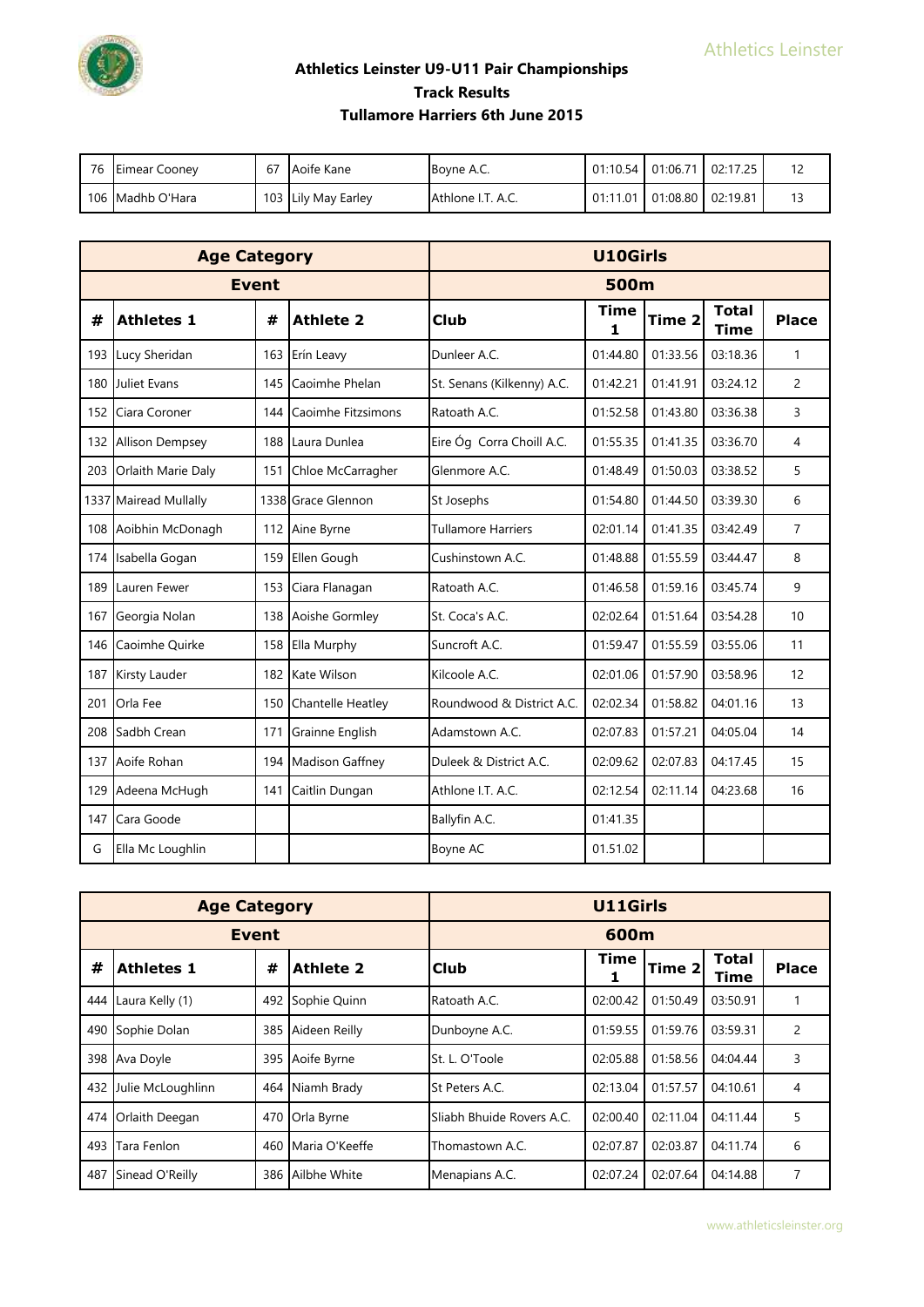

| 76 Eimear Cooney | 67 | Aoife Kane          | <b>Boyne A.C.</b> |                            | 01:10.54   01:06.71   02:17.25 | 12 |
|------------------|----|---------------------|-------------------|----------------------------|--------------------------------|----|
| 106 Madhb O'Hara |    | 103 Lily May Earley | Athlone I.T. A.C. | 01:11.01 01:08.80 02:19.81 |                                | 13 |

|     | <b>Age Category</b>    |              |                          |                            | <b>U10Girls</b>  |                   |                             |                |
|-----|------------------------|--------------|--------------------------|----------------------------|------------------|-------------------|-----------------------------|----------------|
|     |                        | <b>Event</b> |                          |                            | <b>500m</b>      |                   |                             |                |
| #   | <b>Athletes 1</b>      | #            | <b>Athlete 2</b>         | <b>Club</b>                | <b>Time</b><br>1 | Time <sub>2</sub> | <b>Total</b><br><b>Time</b> | <b>Place</b>   |
| 193 | Lucy Sheridan          | 163          | Erín Leavy               | Dunleer A.C.               | 01:44.80         | 01:33.56          | 03:18.36                    | 1              |
|     | 180 Juliet Evans       | 145          | Caoimhe Phelan           | St. Senans (Kilkenny) A.C. | 01:42.21         | 01:41.91          | 03:24.12                    | $\overline{c}$ |
| 152 | Ciara Coroner          | 144          | Caoimhe Fitzsimons       | Ratoath A.C.               | 01:52.58         | 01:43.80          | 03:36.38                    | 3              |
| 132 | <b>Allison Dempsey</b> | 188          | Laura Dunlea             | Eire Óg Corra Choill A.C.  | 01:55.35         | 01:41.35          | 03:36.70                    | 4              |
| 203 | Orlaith Marie Daly     | 151          | Chloe McCarragher        | Glenmore A.C.              | 01:48.49         | 01:50.03          | 03:38.52                    | 5              |
|     | 1337 Mairead Mullally  |              | 1338 Grace Glennon       | St Josephs                 | 01:54.80         | 01:44.50          | 03:39.30                    | 6              |
| 108 | Aoibhin McDonagh       | 112          | Aine Byrne               | <b>Tullamore Harriers</b>  | 02:01.14         | 01:41.35          | 03:42.49                    | $\overline{7}$ |
| 174 | Isabella Gogan         | 159          | Ellen Gough              | Cushinstown A.C.           | 01:48.88         | 01:55.59          | 03:44.47                    | 8              |
| 189 | Lauren Fewer           | 153          | Ciara Flanagan           | Ratoath A.C.               | 01:46.58         | 01:59.16          | 03:45.74                    | 9              |
| 167 | Georgia Nolan          | 138          | Aoishe Gormley           | St. Coca's A.C.            | 02:02.64         | 01:51.64          | 03:54.28                    | 10             |
| 146 | Caoimhe Quirke         | 158          | Ella Murphy              | Suncroft A.C.              | 01:59.47         | 01:55.59          | 03:55.06                    | 11             |
| 187 | Kirsty Lauder          | 182          | Kate Wilson              | Kilcoole A.C.              | 02:01.06         | 01:57.90          | 03:58.96                    | 12             |
| 201 | Orla Fee               | 150          | <b>Chantelle Heatley</b> | Roundwood & District A.C.  | 02:02.34         | 01:58.82          | 04:01.16                    | 13             |
| 208 | Sadbh Crean            | 171          | Grainne English          | Adamstown A.C.             | 02:07.83         | 01:57.21          | 04:05.04                    | 14             |
| 137 | Aoife Rohan            | 194          | Madison Gaffney          | Duleek & District A.C.     | 02:09.62         | 02:07.83          | 04:17.45                    | 15             |
| 129 | Adeena McHugh          | 141          | Caitlin Dungan           | Athlone I.T. A.C.          | 02:12.54         | 02:11.14          | 04:23.68                    | 16             |
| 147 | Cara Goode             |              |                          | Ballyfin A.C.              | 01:41.35         |                   |                             |                |
| G   | Ella Mc Loughlin       |              |                          | Boyne AC                   | 01.51.02         |                   |                             |                |

|     | <b>Age Category</b> |     |                  |                           | <b>U11Girls</b> |          |                      |                |
|-----|---------------------|-----|------------------|---------------------------|-----------------|----------|----------------------|----------------|
|     | <b>Event</b>        |     |                  |                           | 600m            |          |                      |                |
| #   | <b>Athletes 1</b>   | #   | <b>Athlete 2</b> | Club                      | <b>Time</b>     | Time 2   | <b>Total</b><br>Time | <b>Place</b>   |
| 444 | Laura Kelly (1)     | 492 | Sophie Quinn     | Ratoath A.C.              | 02:00.42        | 01:50.49 | 03:50.91             |                |
| 490 | Sophie Dolan        | 385 | Aideen Reilly    | Dunboyne A.C.             | 01:59.55        | 01:59.76 | 03:59.31             | $\overline{2}$ |
| 398 | Ava Doyle           | 395 | Aoife Byrne      | St. L. O'Toole            | 02:05.88        | 01:58.56 | 04:04.44             | 3              |
| 432 | Julie McLoughlinn   |     | 464 Niamh Brady  | St Peters A.C.            | 02:13.04        | 01:57.57 | 04:10.61             | 4              |
|     | 474 Orlaith Deegan  | 470 | Orla Byrne       | Sliabh Bhuide Rovers A.C. | 02:00.40        | 02:11.04 | 04:11.44             | 5              |
| 493 | Tara Fenlon         | 460 | Maria O'Keeffe   | Thomastown A.C.           | 02:07.87        | 02:03.87 | 04:11.74             | 6              |
| 487 | Sinead O'Reilly     |     | 386 Ailbhe White | Menapians A.C.            | 02:07.24        | 02:07.64 | 04:14.88             | 7              |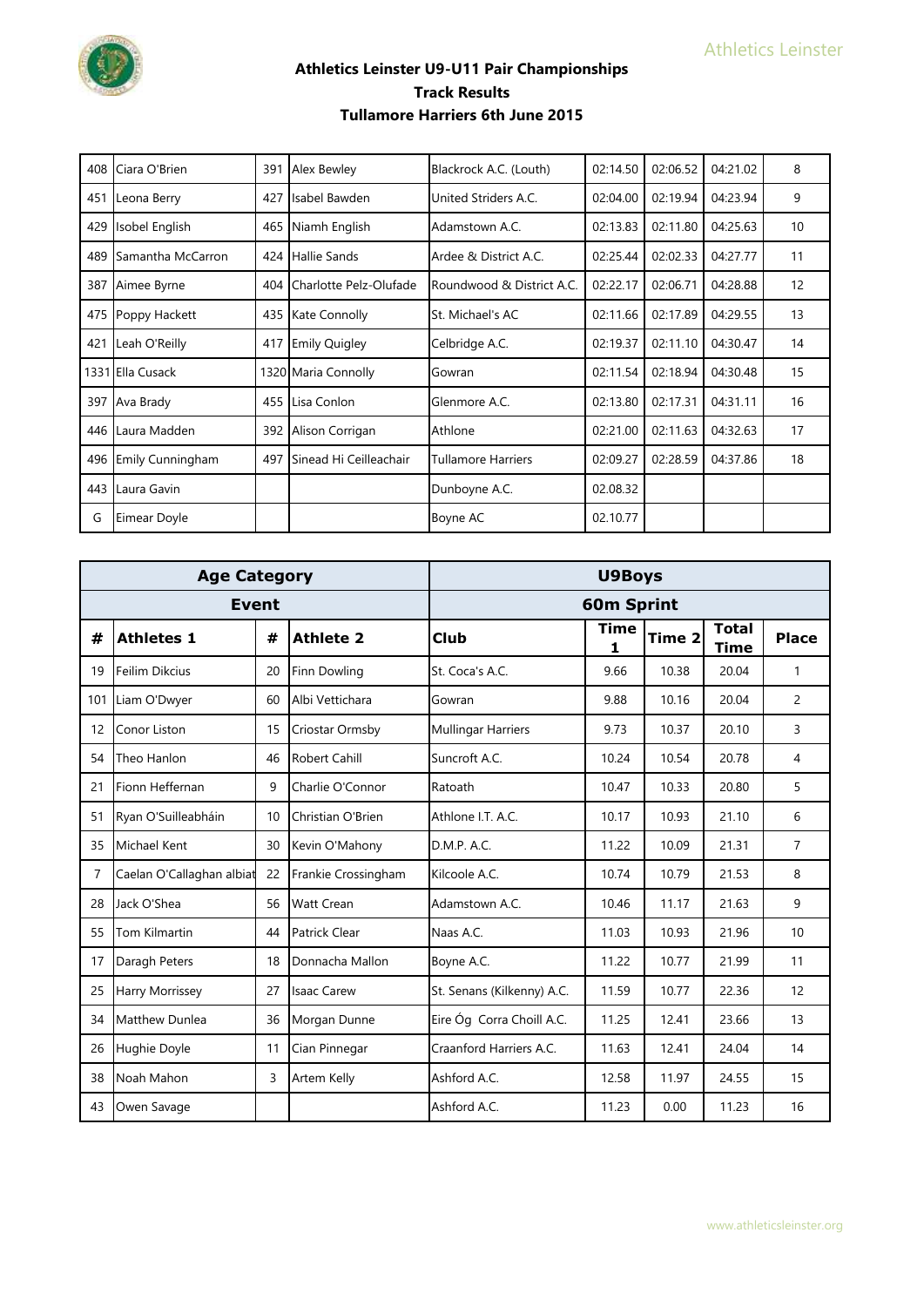

| 408 | Ciara O'Brien            | 391 | <b>Alex Bewley</b>     | Blackrock A.C. (Louth)    | 02:14.50 | 02:06.52 | 04:21.02 | 8  |
|-----|--------------------------|-----|------------------------|---------------------------|----------|----------|----------|----|
| 451 | Leona Berry              | 427 | Isabel Bawden          | United Striders A.C.      | 02:04.00 | 02:19.94 | 04:23.94 | 9  |
| 429 | Isobel English           | 465 | Niamh English          | Adamstown A.C.            | 02:13.83 | 02:11.80 | 04:25.63 | 10 |
| 489 | <b>Samantha McCarron</b> | 424 | <b>Hallie Sands</b>    | Ardee & District A.C.     | 02:25.44 | 02:02.33 | 04:27.77 | 11 |
| 387 | Aimee Byrne              | 404 | Charlotte Pelz-Olufade | Roundwood & District A.C. | 02:22.17 | 02:06.71 | 04:28.88 | 12 |
| 475 | Poppy Hackett            | 435 | Kate Connolly          | St. Michael's AC          | 02:11.66 | 02:17.89 | 04:29.55 | 13 |
| 421 | Leah O'Reilly            | 417 | <b>Emily Quigley</b>   | Celbridge A.C.            | 02:19.37 | 02:11.10 | 04:30.47 | 14 |
|     | 1331 Ella Cusack         |     | 1320 Maria Connolly    | Gowran                    | 02:11.54 | 02:18.94 | 04:30.48 | 15 |
|     | 397 Ava Brady            | 455 | Lisa Conlon            | Glenmore A.C.             | 02:13.80 | 02:17.31 | 04:31.11 | 16 |
| 446 | Laura Madden             | 392 | Alison Corrigan        | Athlone                   | 02:21.00 | 02:11.63 | 04:32.63 | 17 |
| 496 | <b>Emily Cunningham</b>  | 497 | Sinead Hi Ceilleachair | <b>Tullamore Harriers</b> | 02:09.27 | 02:28.59 | 04:37.86 | 18 |
| 443 | Laura Gavin              |     |                        | Dunboyne A.C.             | 02.08.32 |          |          |    |
| G   | Eimear Doyle             |     |                        | Boyne AC                  | 02.10.77 |          |          |    |

|    | <b>Age Category</b>       |    |                      |                            | <b>U9Boys</b>     |        |                             |                |
|----|---------------------------|----|----------------------|----------------------------|-------------------|--------|-----------------------------|----------------|
|    | <b>Event</b>              |    |                      |                            | <b>60m Sprint</b> |        |                             |                |
| #  | <b>Athletes 1</b>         | #  | <b>Athlete 2</b>     | Club                       | <b>Time</b><br>1  | Time 2 | <b>Total</b><br><b>Time</b> | <b>Place</b>   |
| 19 | Feilim Dikcius            | 20 | <b>Finn Dowling</b>  | St. Coca's A.C.            | 9.66              | 10.38  | 20.04                       | 1              |
|    | 101 Liam O'Dwyer          | 60 | Albi Vettichara      | Gowran                     | 9.88              | 10.16  | 20.04                       | $\overline{c}$ |
| 12 | Conor Liston              | 15 | Criostar Ormsby      | <b>Mullingar Harriers</b>  | 9.73              | 10.37  | 20.10                       | 3              |
| 54 | Theo Hanlon               | 46 | <b>Robert Cahill</b> | Suncroft A.C.              | 10.24             | 10.54  | 20.78                       | 4              |
| 21 | Fionn Heffernan           | 9  | Charlie O'Connor     | Ratoath                    | 10.47             | 10.33  | 20.80                       | 5              |
| 51 | Ryan O'Suilleabháin       | 10 | Christian O'Brien    | Athlone I.T. A.C.          | 10.17             | 10.93  | 21.10                       | 6              |
| 35 | <b>Michael Kent</b>       | 30 | Kevin O'Mahony       | D.M.P. A.C.                | 11.22             | 10.09  | 21.31                       | $\overline{7}$ |
| 7  | Caelan O'Callaghan albiat | 22 | Frankie Crossingham  | Kilcoole A.C.              | 10.74             | 10.79  | 21.53                       | 8              |
| 28 | Jack O'Shea               | 56 | <b>Watt Crean</b>    | Adamstown A.C.             | 10.46             | 11.17  | 21.63                       | 9              |
| 55 | Tom Kilmartin             | 44 | <b>Patrick Clear</b> | Naas A.C.                  | 11.03             | 10.93  | 21.96                       | 10             |
| 17 | Daragh Peters             | 18 | Donnacha Mallon      | Boyne A.C.                 | 11.22             | 10.77  | 21.99                       | 11             |
| 25 | Harry Morrissey           | 27 | <b>Isaac Carew</b>   | St. Senans (Kilkenny) A.C. | 11.59             | 10.77  | 22.36                       | 12             |
| 34 | Matthew Dunlea            | 36 | Morgan Dunne         | Eire Óg Corra Choill A.C.  | 11.25             | 12.41  | 23.66                       | 13             |
| 26 | Hughie Doyle              | 11 | Cian Pinnegar        | Craanford Harriers A.C.    | 11.63             | 12.41  | 24.04                       | 14             |
| 38 | Noah Mahon                | 3  | Artem Kelly          | Ashford A.C.               | 12.58             | 11.97  | 24.55                       | 15             |
| 43 | Owen Savage               |    |                      | Ashford A.C.               | 11.23             | 0.00   | 11.23                       | 16             |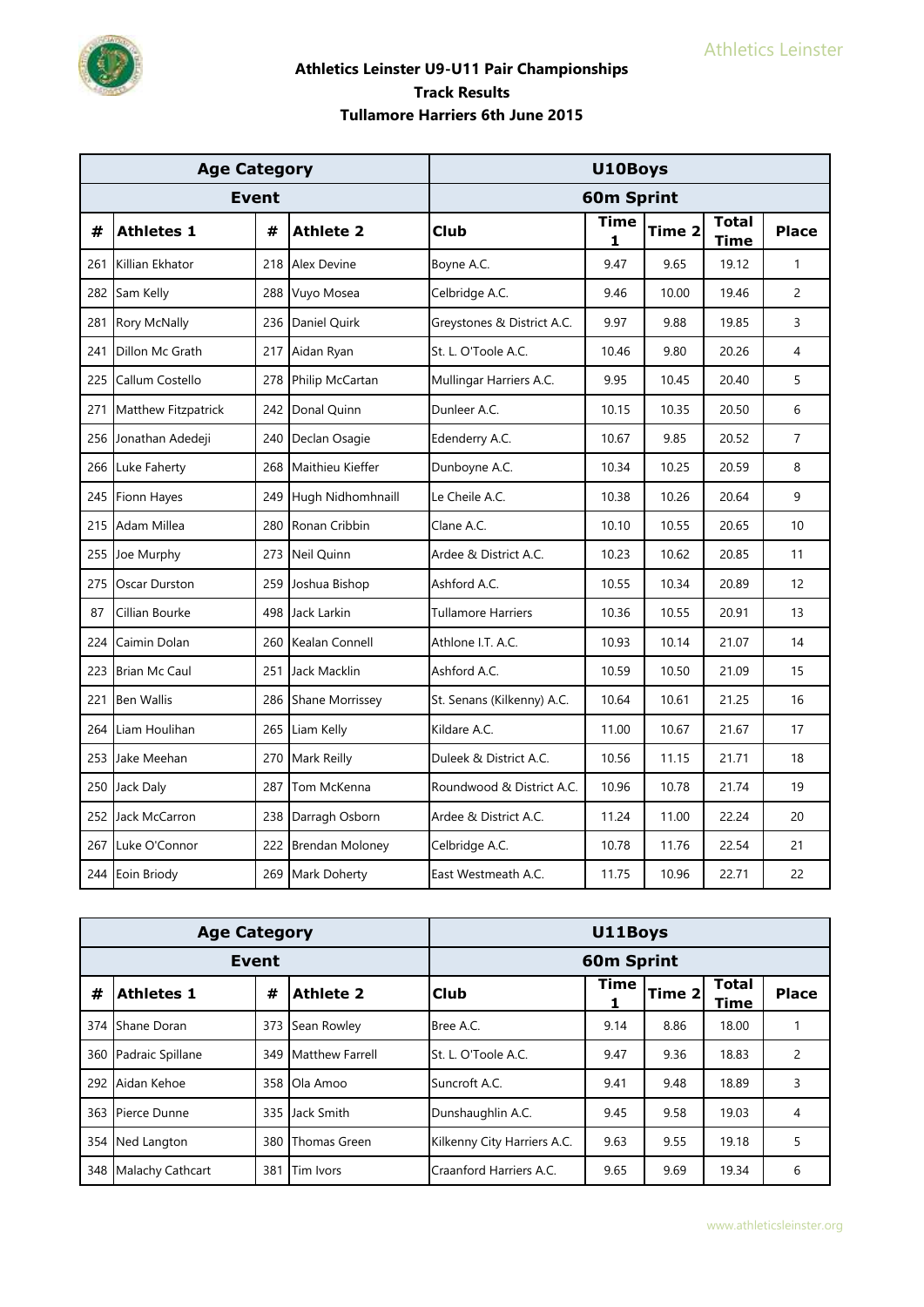

|     | <b>Age Category</b>  |              |                        |                            | U10Boys           |        |                             |                |
|-----|----------------------|--------------|------------------------|----------------------------|-------------------|--------|-----------------------------|----------------|
|     |                      | <b>Event</b> |                        |                            | <b>60m Sprint</b> |        |                             |                |
| #   | <b>Athletes 1</b>    | #            | <b>Athlete 2</b>       | Club                       | <b>Time</b><br>1  | Time 2 | <b>Total</b><br><b>Time</b> | <b>Place</b>   |
| 261 | Killian Ekhator      | 218          | <b>Alex Devine</b>     | Boyne A.C.                 | 9.47              | 9.65   | 19.12                       | 1              |
| 282 | Sam Kelly            | 288          | Vuyo Mosea             | Celbridge A.C.             | 9.46              | 10.00  | 19.46                       | $\overline{c}$ |
| 281 | <b>Rory McNally</b>  | 236          | Daniel Quirk           | Greystones & District A.C. | 9.97              | 9.88   | 19.85                       | 3              |
| 241 | Dillon Mc Grath      | 217          | Aidan Ryan             | St. L. O'Toole A.C.        | 10.46             | 9.80   | 20.26                       | 4              |
| 225 | Callum Costello      | 278          | Philip McCartan        | Mullingar Harriers A.C.    | 9.95              | 10.45  | 20.40                       | 5              |
| 271 | Matthew Fitzpatrick  | 242          | Donal Quinn            | Dunleer A.C.               | 10.15             | 10.35  | 20.50                       | 6              |
| 256 | Jonathan Adedeji     | 240          | Declan Osagie          | Edenderry A.C.             | 10.67             | 9.85   | 20.52                       | $\overline{7}$ |
| 266 | Luke Faherty         | 268          | Maithieu Kieffer       | Dunboyne A.C.              | 10.34             | 10.25  | 20.59                       | 8              |
| 245 | Fionn Hayes          | 249          | Hugh Nidhomhnaill      | Le Cheile A.C.             | 10.38             | 10.26  | 20.64                       | 9              |
| 215 | Adam Millea          | 280          | Ronan Cribbin          | Clane A.C.                 | 10.10             | 10.55  | 20.65                       | 10             |
| 255 | Joe Murphy           | 273          | <b>Neil Ouinn</b>      | Ardee & District A.C.      | 10.23             | 10.62  | 20.85                       | 11             |
| 275 | Oscar Durston        | 259          | Joshua Bishop          | Ashford A.C.               | 10.55             | 10.34  | 20.89                       | 12             |
| 87  | Cillian Bourke       | 498          | Jack Larkin            | <b>Tullamore Harriers</b>  | 10.36             | 10.55  | 20.91                       | 13             |
| 224 | Caimin Dolan         | 260          | Kealan Connell         | Athlone I.T. A.C.          | 10.93             | 10.14  | 21.07                       | 14             |
| 223 | <b>Brian Mc Caul</b> | 251          | Jack Macklin           | Ashford A.C.               | 10.59             | 10.50  | 21.09                       | 15             |
| 221 | <b>Ben Wallis</b>    | 286          | <b>Shane Morrissey</b> | St. Senans (Kilkenny) A.C. | 10.64             | 10.61  | 21.25                       | 16             |
| 264 | Liam Houlihan        | 265          | Liam Kelly             | Kildare A.C.               | 11.00             | 10.67  | 21.67                       | 17             |
| 253 | Jake Meehan          | 270          | Mark Reilly            | Duleek & District A.C.     | 10.56             | 11.15  | 21.71                       | 18             |
| 250 | Jack Daly            | 287          | Tom McKenna            | Roundwood & District A.C.  | 10.96             | 10.78  | 21.74                       | 19             |
| 252 | Jack McCarron        | 238          | Darragh Osborn         | Ardee & District A.C.      | 11.24             | 11.00  | 22.24                       | 20             |
| 267 | Luke O'Connor        | 222          | <b>Brendan Moloney</b> | Celbridge A.C.             | 10.78             | 11.76  | 22.54                       | 21             |
| 244 | Eoin Briody          | 269          | Mark Doherty           | East Westmeath A.C.        | 11.75             | 10.96  | 22.71                       | 22             |

|              | <b>Age Category</b> |     | U11Boys                |                             |             |        |                      |                |  |
|--------------|---------------------|-----|------------------------|-----------------------------|-------------|--------|----------------------|----------------|--|
| <b>Event</b> |                     |     |                        | <b>60m Sprint</b>           |             |        |                      |                |  |
| #            | <b>Athletes 1</b>   | #   | <b>Athlete 2</b>       | Club                        | <b>Time</b> | Time 2 | <b>Total</b><br>Time | <b>Place</b>   |  |
|              | 374 Shane Doran     | 373 | Sean Rowley            | Bree A.C.                   | 9.14        | 8.86   | 18.00                |                |  |
| 360          | Padraic Spillane    | 349 | <b>Matthew Farrell</b> | St. L. O'Toole A.C.         | 9.47        | 9.36   | 18.83                | $\overline{2}$ |  |
|              | 292 Aidan Kehoe     | 358 | Ola Amoo               | Suncroft A.C.               | 9.41        | 9.48   | 18.89                | 3              |  |
|              | 363 Pierce Dunne    | 335 | Jack Smith             | Dunshaughlin A.C.           | 9.45        | 9.58   | 19.03                | 4              |  |
|              | 354 Ned Langton     | 380 | Thomas Green           | Kilkenny City Harriers A.C. | 9.63        | 9.55   | 19.18                | 5              |  |
| 348          | Malachy Cathcart    | 381 | Tim Ivors              | Craanford Harriers A.C.     | 9.65        | 9.69   | 19.34                | 6              |  |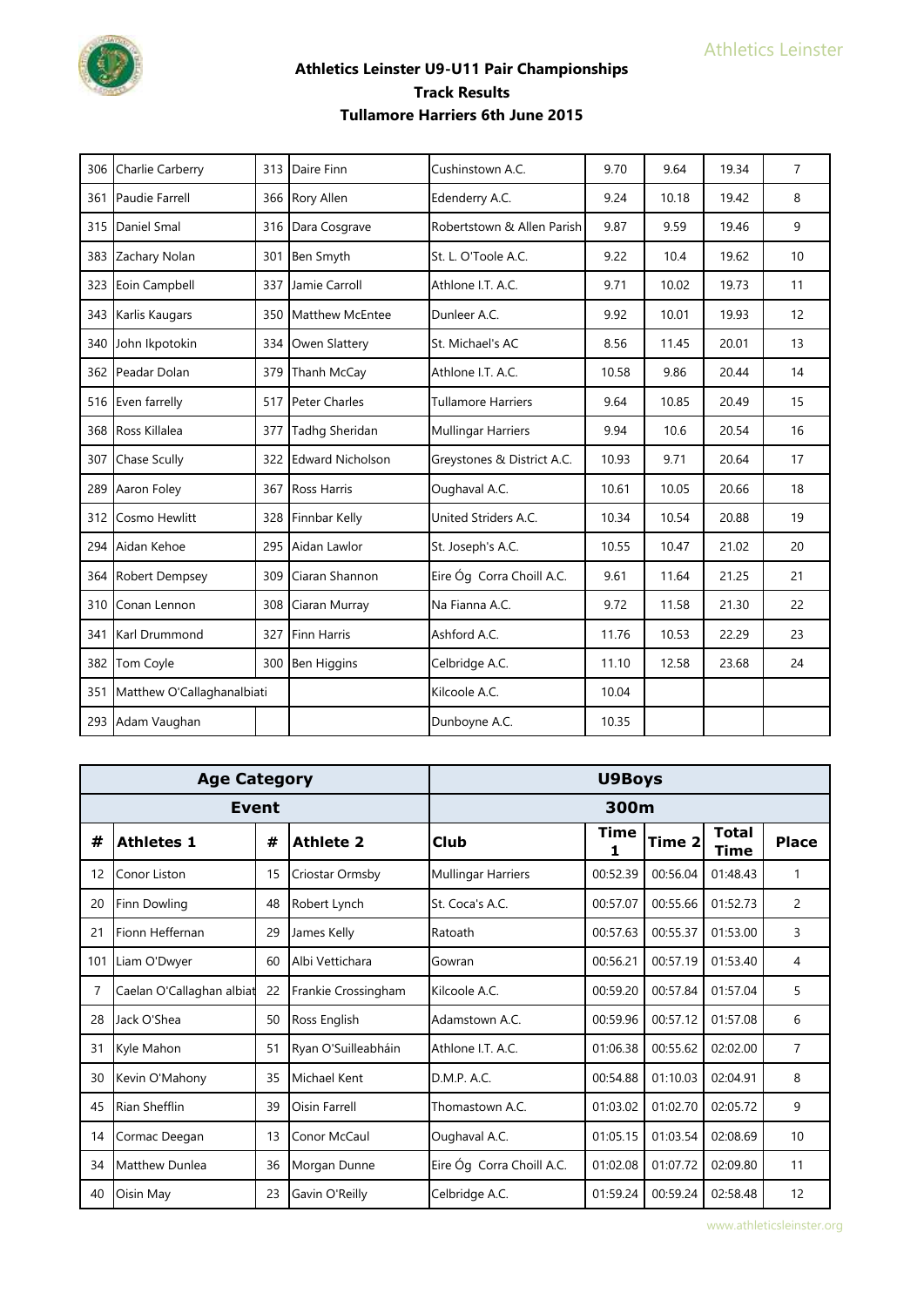

| 306 | Charlie Carberry           | 313 | Daire Finn              | Cushinstown A.C.           | 9.70  | 9.64  | 19.34 | $\overline{7}$ |
|-----|----------------------------|-----|-------------------------|----------------------------|-------|-------|-------|----------------|
| 361 | Paudie Farrell             | 366 | <b>Rory Allen</b>       | Edenderry A.C.             | 9.24  | 10.18 | 19.42 | 8              |
|     | 315 Daniel Smal            | 316 | Dara Cosgrave           | Robertstown & Allen Parish | 9.87  | 9.59  | 19.46 | 9              |
| 383 | Zachary Nolan              | 301 | Ben Smyth               | St. L. O'Toole A.C.        | 9.22  | 10.4  | 19.62 | 10             |
| 323 | Eoin Campbell              | 337 | Jamie Carroll           | Athlone I.T. A.C.          | 9.71  | 10.02 | 19.73 | 11             |
|     | 343 Karlis Kaugars         | 350 | Matthew McEntee         | Dunleer A.C.               | 9.92  | 10.01 | 19.93 | 12             |
|     | 340 John Ikpotokin         | 334 | Owen Slattery           | St. Michael's AC           | 8.56  | 11.45 | 20.01 | 13             |
| 362 | Peadar Dolan               | 379 | Thanh McCay             | Athlone I.T. A.C.          | 10.58 | 9.86  | 20.44 | 14             |
|     | 516 Even farrelly          | 517 | Peter Charles           | <b>Tullamore Harriers</b>  | 9.64  | 10.85 | 20.49 | 15             |
|     | 368 Ross Killalea          | 377 | Tadhg Sheridan          | <b>Mullingar Harriers</b>  | 9.94  | 10.6  | 20.54 | 16             |
| 307 | <b>Chase Scully</b>        | 322 | <b>Edward Nicholson</b> | Greystones & District A.C. | 10.93 | 9.71  | 20.64 | 17             |
| 289 | Aaron Foley                | 367 | <b>Ross Harris</b>      | Oughaval A.C.              | 10.61 | 10.05 | 20.66 | 18             |
| 312 | Cosmo Hewlitt              | 328 | Finnbar Kelly           | United Striders A.C.       | 10.34 | 10.54 | 20.88 | 19             |
|     | 294 Aidan Kehoe            | 295 | Aidan Lawlor            | St. Joseph's A.C.          | 10.55 | 10.47 | 21.02 | 20             |
| 364 | <b>Robert Dempsey</b>      | 309 | Ciaran Shannon          | Eire Óg Corra Choill A.C.  | 9.61  | 11.64 | 21.25 | 21             |
| 310 | Conan Lennon               | 308 | Ciaran Murray           | Na Fianna A.C.             | 9.72  | 11.58 | 21.30 | 22             |
| 341 | Karl Drummond              | 327 | <b>Finn Harris</b>      | Ashford A.C.               | 11.76 | 10.53 | 22.29 | 23             |
| 382 | Tom Coyle                  | 300 | <b>Ben Higgins</b>      | Celbridge A.C.             | 11.10 | 12.58 | 23.68 | 24             |
| 351 | Matthew O'Callaghanalbiati |     |                         | Kilcoole A.C.              | 10.04 |       |       |                |
|     | 293 Adam Vaughan           |     |                         | Dunboyne A.C.              | 10.35 |       |       |                |

| <b>Age Category</b> |                           |    |                     | <b>U9Boys</b>             |           |          |                      |                |  |
|---------------------|---------------------------|----|---------------------|---------------------------|-----------|----------|----------------------|----------------|--|
|                     | <b>Event</b>              |    |                     | 300m                      |           |          |                      |                |  |
| #                   | <b>Athletes 1</b>         | #  | <b>Athlete 2</b>    | <b>Club</b>               | Time<br>1 | Time 2   | Total<br><b>Time</b> | <b>Place</b>   |  |
| 12                  | Conor Liston              | 15 | Criostar Ormsby     | <b>Mullingar Harriers</b> | 00:52.39  | 00:56.04 | 01:48.43             | 1              |  |
| 20                  | Finn Dowling              | 48 | Robert Lynch        | St. Coca's A.C.           | 00:57.07  | 00:55.66 | 01:52.73             | $\overline{2}$ |  |
| 21                  | Fionn Heffernan           | 29 | James Kelly         | Ratoath                   | 00:57.63  | 00:55.37 | 01:53.00             | 3              |  |
| 101                 | Liam O'Dwyer              | 60 | Albi Vettichara     | Gowran                    | 00:56.21  | 00:57.19 | 01:53.40             | $\overline{4}$ |  |
| 7                   | Caelan O'Callaghan albiat | 22 | Frankie Crossingham | Kilcoole A.C.             | 00:59.20  | 00:57.84 | 01:57.04             | 5              |  |
| 28                  | Jack O'Shea               | 50 | Ross English        | Adamstown A.C.            | 00:59.96  | 00:57.12 | 01:57.08             | 6              |  |
| 31                  | Kyle Mahon                | 51 | Ryan O'Suilleabháin | Athlone I.T. A.C.         | 01:06.38  | 00:55.62 | 02:02.00             | $\overline{7}$ |  |
| 30                  | Kevin O'Mahony            | 35 | <b>Michael Kent</b> | D.M.P. A.C.               | 00:54.88  | 01:10.03 | 02:04.91             | 8              |  |
| 45                  | <b>Rian Shefflin</b>      | 39 | Oisin Farrell       | Thomastown A.C.           | 01:03.02  | 01:02.70 | 02:05.72             | 9              |  |
| 14                  | Cormac Deegan             | 13 | Conor McCaul        | Oughaval A.C.             | 01:05.15  | 01:03.54 | 02:08.69             | 10             |  |
| 34                  | Matthew Dunlea            | 36 | Morgan Dunne        | Eire Óg Corra Choill A.C. | 01:02.08  | 01:07.72 | 02:09.80             | 11             |  |
| 40                  | Oisin May                 | 23 | Gavin O'Reilly      | Celbridge A.C.            | 01:59.24  | 00:59.24 | 02:58.48             | 12             |  |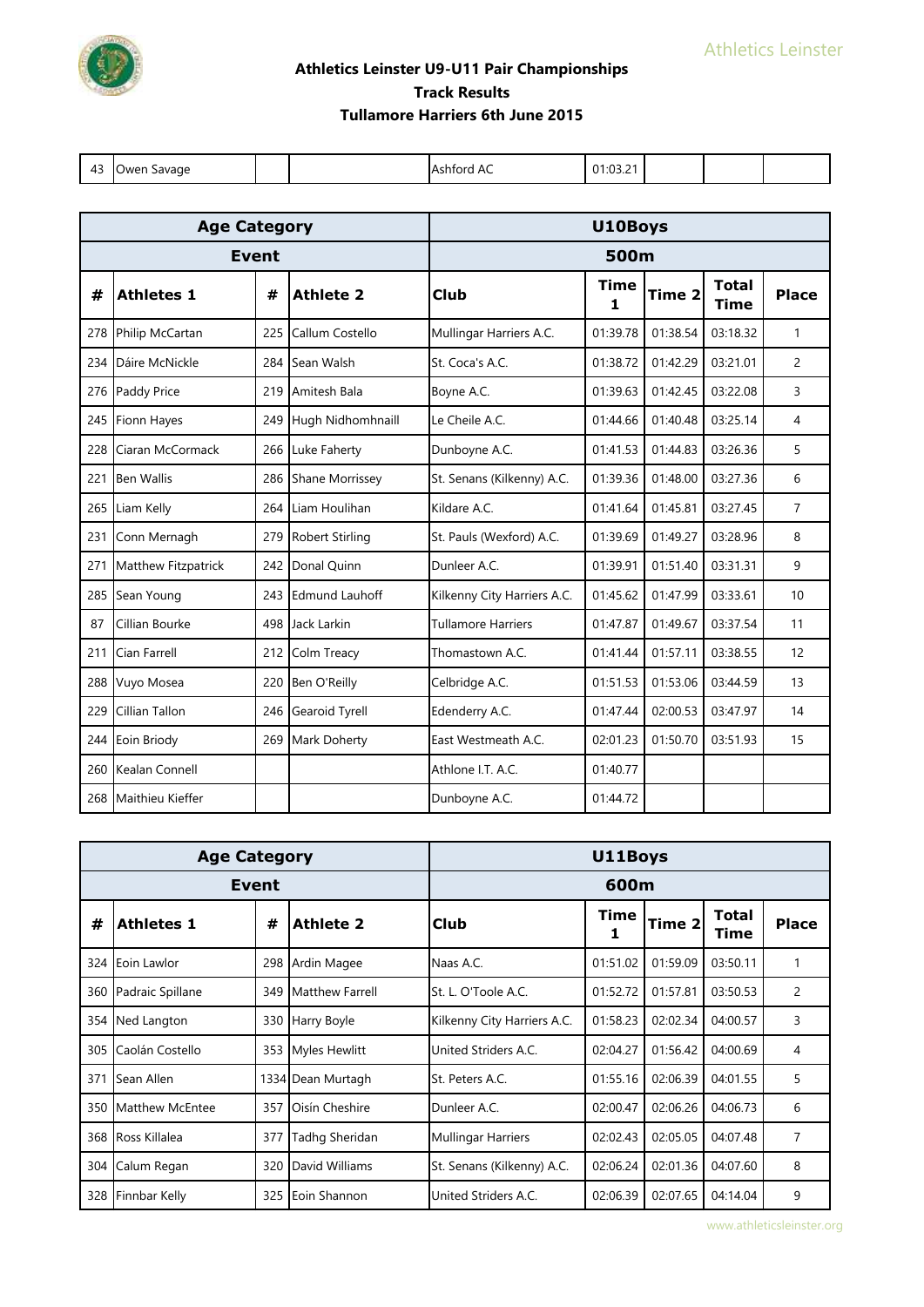

|     | <b>Age Category</b>  |              | U10Boys                |                             |           |          |                             |                |  |
|-----|----------------------|--------------|------------------------|-----------------------------|-----------|----------|-----------------------------|----------------|--|
|     |                      | <b>Event</b> |                        | 500m                        |           |          |                             |                |  |
| #   | <b>Athletes 1</b>    | #            | <b>Athlete 2</b>       | <b>Club</b>                 | Time<br>1 | Time 2   | <b>Total</b><br><b>Time</b> | <b>Place</b>   |  |
| 278 | Philip McCartan      | 225          | Callum Costello        | Mullingar Harriers A.C.     | 01:39.78  | 01:38.54 | 03:18.32                    | 1              |  |
| 234 | Dáire McNickle       | 284          | Sean Walsh             | St. Coca's A.C.             | 01:38.72  | 01:42.29 | 03:21.01                    | $\overline{2}$ |  |
| 276 | Paddy Price          | 219          | Amitesh Bala           | Boyne A.C.                  | 01:39.63  | 01:42.45 | 03:22.08                    | 3              |  |
|     | 245 Fionn Hayes      | 249          | Hugh Nidhomhnaill      | Le Cheile A.C.              | 01:44.66  | 01:40.48 | 03:25.14                    | 4              |  |
| 228 | Ciaran McCormack     | 266          | Luke Faherty           | Dunboyne A.C.               | 01:41.53  | 01:44.83 | 03:26.36                    | 5              |  |
| 221 | <b>Ben Wallis</b>    | 286          | <b>Shane Morrissey</b> | St. Senans (Kilkenny) A.C.  | 01:39.36  | 01:48.00 | 03:27.36                    | 6              |  |
| 265 | Liam Kelly           | 264          | Liam Houlihan          | Kildare A.C.                | 01:41.64  | 01:45.81 | 03:27.45                    | $\overline{7}$ |  |
| 231 | Conn Mernagh         | 279          | <b>Robert Stirling</b> | St. Pauls (Wexford) A.C.    | 01:39.69  | 01:49.27 | 03:28.96                    | 8              |  |
| 271 | Matthew Fitzpatrick  | 242          | Donal Quinn            | Dunleer A.C.                | 01:39.91  | 01:51.40 | 03:31.31                    | 9              |  |
|     | 285 Sean Young       | 243          | <b>Edmund Lauhoff</b>  | Kilkenny City Harriers A.C. | 01:45.62  | 01:47.99 | 03:33.61                    | 10             |  |
| 87  | Cillian Bourke       | 498          | Jack Larkin            | <b>Tullamore Harriers</b>   | 01:47.87  | 01:49.67 | 03:37.54                    | 11             |  |
| 211 | Cian Farrell         | 212          | Colm Treacy            | Thomastown A.C.             | 01:41.44  | 01:57.11 | 03:38.55                    | 12             |  |
| 288 | Vuyo Mosea           | 220          | Ben O'Reilly           | Celbridge A.C.              | 01:51.53  | 01:53.06 | 03:44.59                    | 13             |  |
| 229 | Cillian Tallon       | 246          | Gearoid Tyrell         | Edenderry A.C.              | 01:47.44  | 02:00.53 | 03:47.97                    | 14             |  |
|     | 244 Eoin Briody      | 269          | Mark Doherty           | East Westmeath A.C.         | 02:01.23  | 01:50.70 | 03:51.93                    | 15             |  |
| 260 | Kealan Connell       |              |                        | Athlone I.T. A.C.           | 01:40.77  |          |                             |                |  |
|     | 268 Maithieu Kieffer |              |                        | Dunboyne A.C.               | 01:44.72  |          |                             |                |  |

|     | <b>Age Category</b>  |     | U11Boys                |                             |          |          |                      |                |
|-----|----------------------|-----|------------------------|-----------------------------|----------|----------|----------------------|----------------|
|     | Event                |     | 600m                   |                             |          |          |                      |                |
| #   | <b>Athletes 1</b>    | #   | <b>Athlete 2</b>       | <b>Club</b>                 | Time     | Time 2   | <b>Total</b><br>Time | <b>Place</b>   |
| 324 | Eoin Lawlor          | 298 | Ardin Magee            | Naas A.C.                   | 01:51.02 | 01:59.09 | 03:50.11             | 1              |
| 360 | Padraic Spillane     | 349 | <b>Matthew Farrell</b> | St. L. O'Toole A.C.         | 01:52.72 | 01:57.81 | 03:50.53             | 2              |
| 354 | Ned Langton          | 330 | Harry Boyle            | Kilkenny City Harriers A.C. | 01:58.23 | 02:02.34 | 04:00.57             | 3              |
| 305 | Caolán Costello      | 353 | <b>Myles Hewlitt</b>   | United Striders A.C.        | 02:04.27 | 01:56.42 | 04:00.69             | 4              |
| 371 | Sean Allen           |     | 1334 Dean Murtagh      | St. Peters A.C.             | 01:55.16 | 02:06.39 | 04:01.55             | 5              |
| 350 | Matthew McEntee      | 357 | Oisín Cheshire         | Dunleer A.C.                | 02:00.47 | 02:06.26 | 04:06.73             | 6              |
| 368 | <b>Ross Killalea</b> | 377 | Tadhg Sheridan         | <b>Mullingar Harriers</b>   | 02:02.43 | 02:05.05 | 04:07.48             | $\overline{7}$ |
| 304 | Calum Regan          | 320 | David Williams         | St. Senans (Kilkenny) A.C.  | 02:06.24 | 02:01.36 | 04:07.60             | 8              |
| 328 | Finnbar Kelly        | 325 | Eoin Shannon           | United Striders A.C.        | 02:06.39 | 02:07.65 | 04:14.04             | 9              |